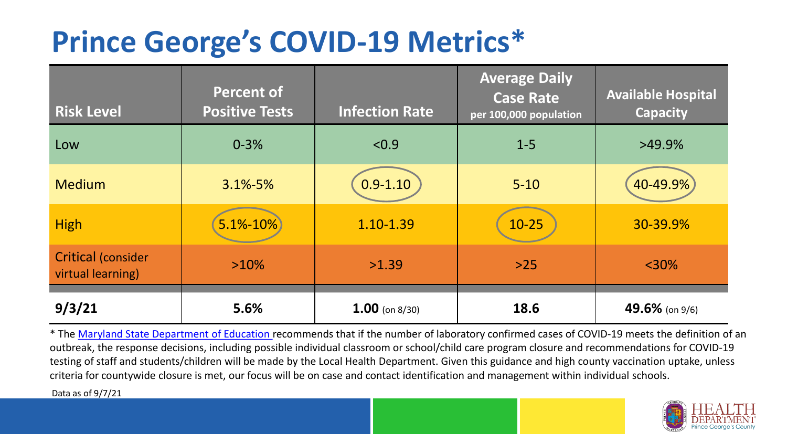## **Prince George's COVID-19 Metrics\***

| <b>Risk Level</b>                              | <b>Percent of</b><br><b>Positive Tests</b> | <b>Infection Rate</b> | <b>Average Daily</b><br><b>Case Rate</b><br>per 100,000 population | <b>Available Hospital</b><br><b>Capacity</b> |
|------------------------------------------------|--------------------------------------------|-----------------------|--------------------------------------------------------------------|----------------------------------------------|
| Low                                            | $0 - 3%$                                   | < 0.9                 | $1 - 5$                                                            | $>49.9\%$                                    |
| <b>Medium</b>                                  | $3.1\% - 5\%$                              | $0.9 - 1.10$          | $5 - 10$                                                           | 40-49.9%                                     |
| <b>High</b>                                    | $5.1\% - 10\%$                             | 1.10-1.39             | $10-25$                                                            | 30-39.9%                                     |
| <b>Critical (consider</b><br>virtual learning) | $>10\%$                                    | >1.39                 | $>25$                                                              | $<$ 30%                                      |
| 9/3/21                                         | 5.6%                                       | $1.00$ (on 8/30)      | 18.6                                                               | 49.6% (on 9/6)                               |

\* The [Maryland State Department of Education r](https://earlychildhood.marylandpublicschools.org/system/files/filedepot/3/covid_guidance_full_080420.pdf)ecommends that if the number of laboratory confirmed cases of COVID-19 meets the definition of an outbreak, the response decisions, including possible individual classroom or school/child care program closure and recommendations for COVID-19 testing of staff and students/children will be made by the Local Health Department. Given this guidance and high county vaccination uptake, unless criteria for countywide closure is met, our focus will be on case and contact identification and management within individual schools.

Data as of 9/7/21

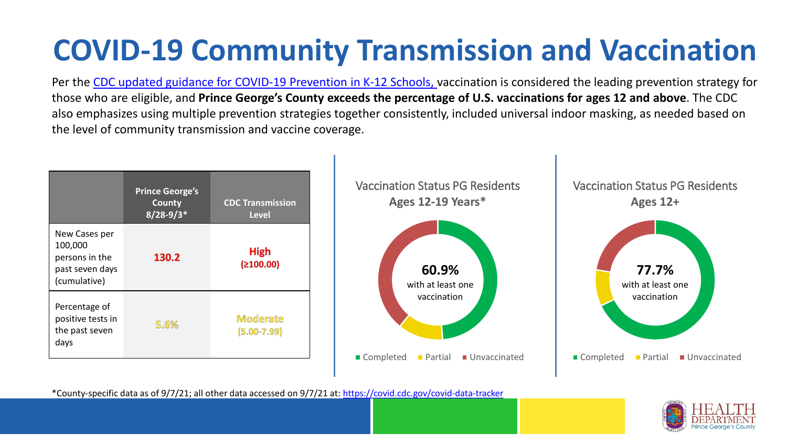# **COVID-19 Community Transmission and Vaccination**

Per the [CDC updated guidance for COVID-19 Prevention in K-12 Schools,](https://www.cdc.gov/coronavirus/2019-ncov/community/schools-childcare/k-12-guidance.html) vaccination is considered the leading prevention strategy for those who are eligible, and **Prince George's County exceeds the percentage of U.S. vaccinations for ages 12 and above**. The CDC also emphasizes using multiple prevention strategies together consistently, included universal indoor masking, as needed based on the level of community transmission and vaccine coverage.



\*County-specific data as of 9/7/21; all other data accessed on 9/7/21 at:<https://covid.cdc.gov/covid-data-tracker>

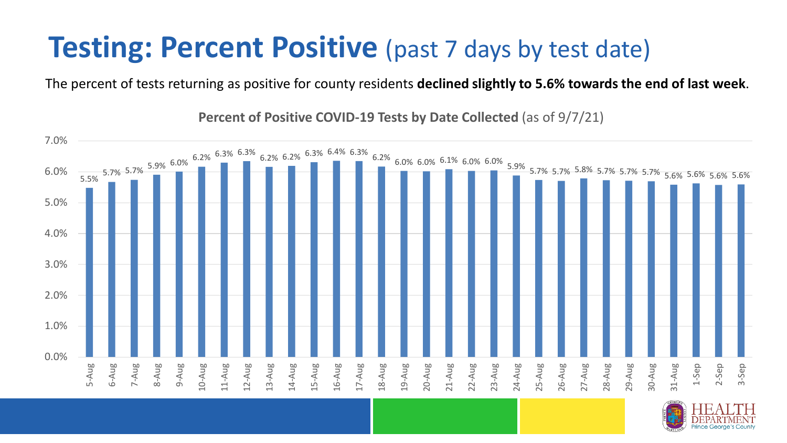### **Testing: Percent Positive** (past 7 days by test date)

The percent of tests returning as positive for county residents **declined slightly to 5.6% towards the end of last week**.

5.5% 5.7% 5.7% 5.9% 6.0% 6.2% 6.3% 6.3% 6.2% 6.2% 6.3% 6.4% 6.3% 6.2% 6.0% 6.0% 6.1% 6.0% 6.0% 5.9% 5.7% 5.7% 5.8% 5.7% 5.7% 5.7% 5.6% 5.6% 5.6% 5.6% 0.0% 1.0% 2.0% 3.0% 4.0% 5.0% 6.0% 7.0% 5-Aug 6-Aug 7-Aug 8-Aug 9-Aug 10-Aug 1-Aug 12-Aug 13-Aug 14-Aug 15-Aug 16-Aug 17-Aug 18-Aug 19-Aug 20-Aug 21-Aug 22-Aug 23-Aug 24-Aug 25-Aug 26-Aug 27-Aug 28-Aug 29-Aug 30-Aug 31-Aug 1-Sep 2-Sep 3-Sep

**Percent of Positive COVID-19 Tests by Date Collected** (as of 9/7/21)

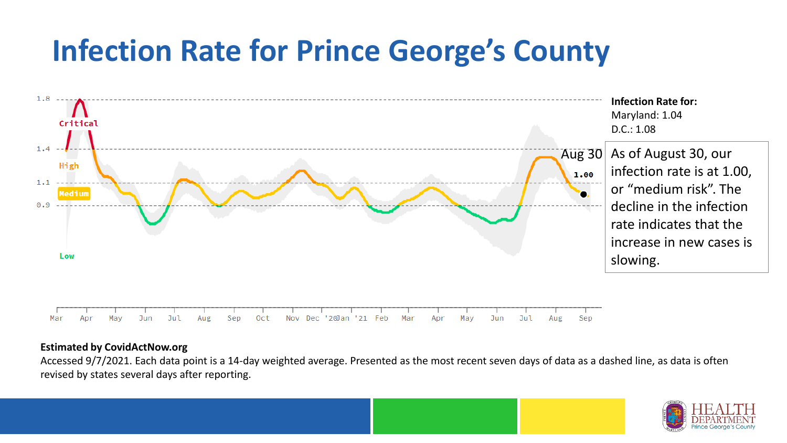## **Infection Rate for Prince George's County**



#### **Estimated by CovidActNow.org**

Accessed 9/7/2021. Each data point is a 14-day weighted average. Presented as the most recent seven days of data as a dashed line, as data is often revised by states several days after reporting.

![](_page_3_Picture_4.jpeg)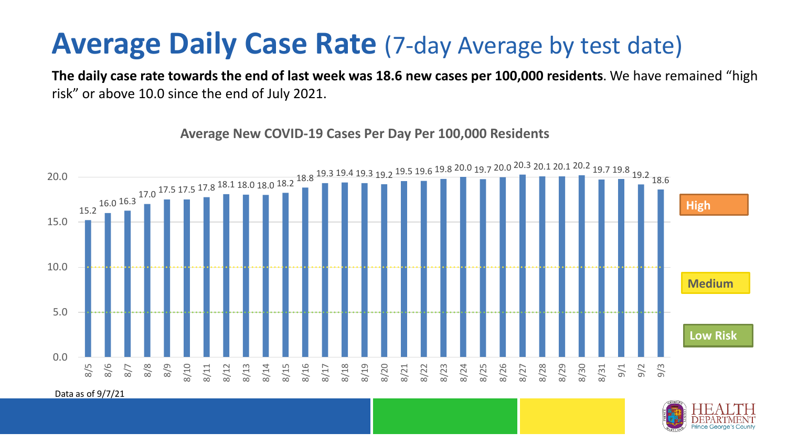#### **Average Daily Case Rate** (7-day Average by test date)

**The daily case rate towards the end of last week was 18.6 new cases per 100,000 residents**. We have remained "high risk" or above 10.0 since the end of July 2021.

15.2 16.0 16.3  $17.0\,$   $^{17.5}\,$   $17.5\,$   $^{17.8}\,$   $^{18.1}\,$   $^{18.0}\,$   $^{18.2}\,$   $^{18.8}\,$   $^{19.3}\,$   $^{19.4}\,$   $^{19.2}\,$   $^{19.5}\,$   $^{19.6}\,$   $^{19.8}\,$   $^{20.0}\,$   $^{19.7}\,$   $^{20.0}\,$   $^{20.3}\,$   $^{20.1}\,$   $^{20.1}\,$   $^{20.2}\,$   $^{19.7}\,$   $^{1$ 0.0 5.0 10.0 15.0 20.0 8/5 8/6 8/7 8/8 8/9 8/10 8/11 8/12 8/13 8/14 8/15 8/16 8/17 8/18 8/19 8/20 8/21 8/22 8/23 8/24 8/25 8/26 8/27 8/28 8/29 8/30 8/31 9/1 9/2 9/3 **Low Risk Medium High**

**Average New COVID-19 Cases Per Day Per 100,000 Residents**

Data as of 9/7/21

![](_page_4_Picture_5.jpeg)